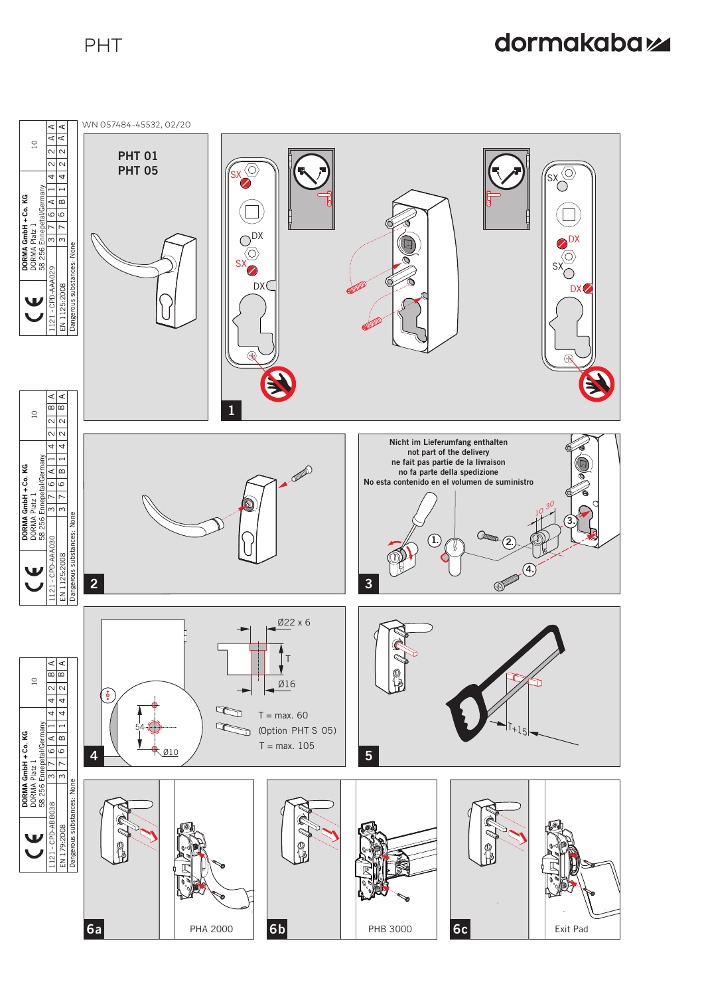# dormakabaz

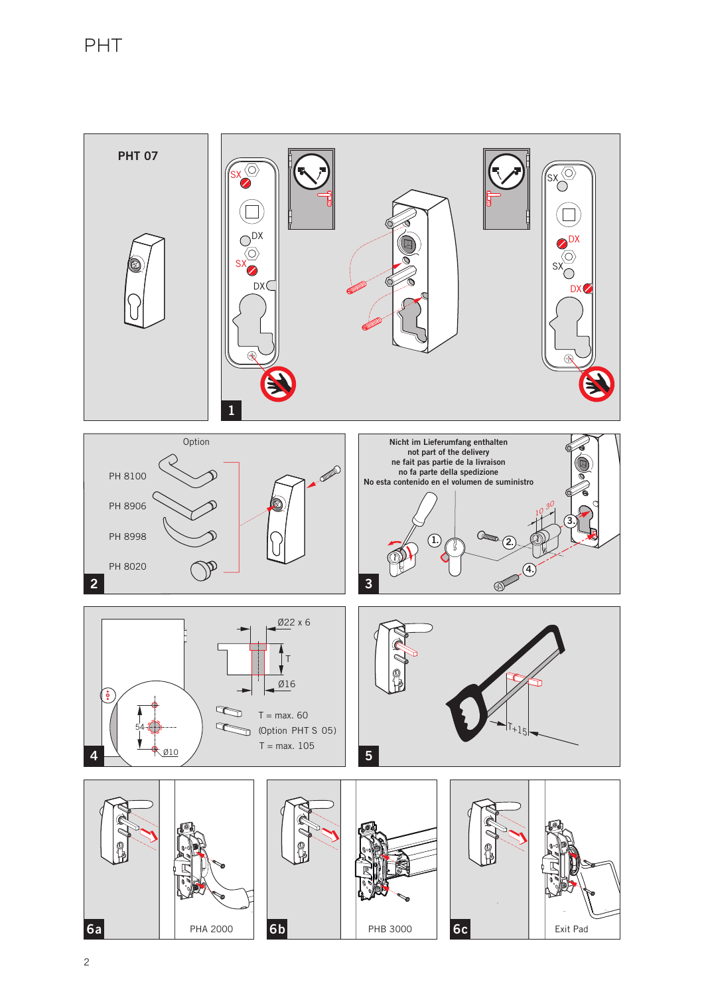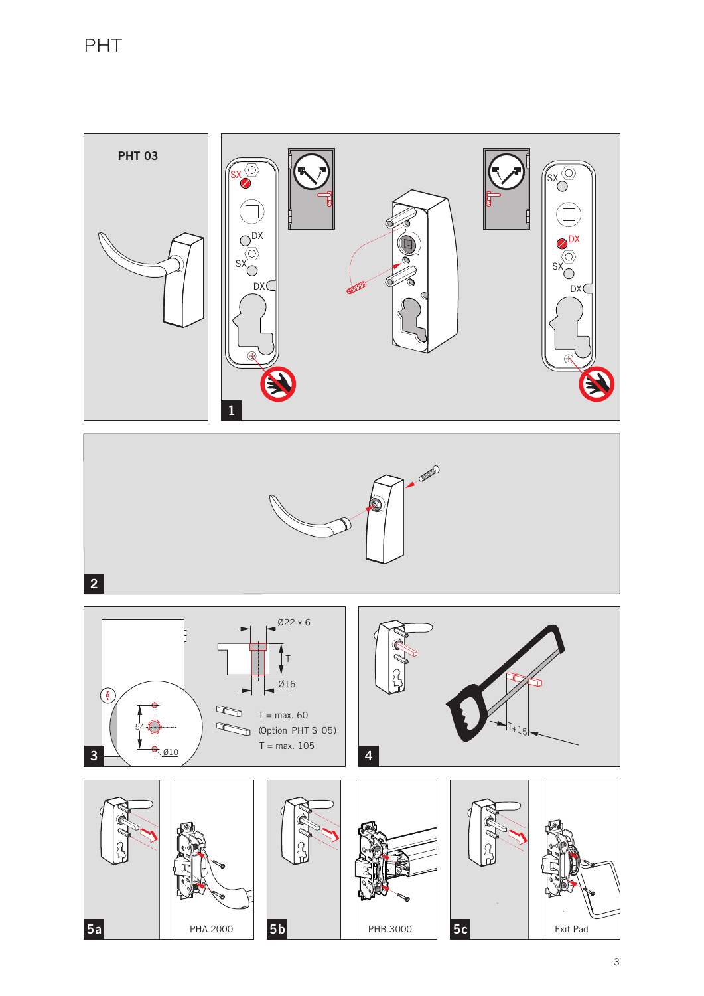